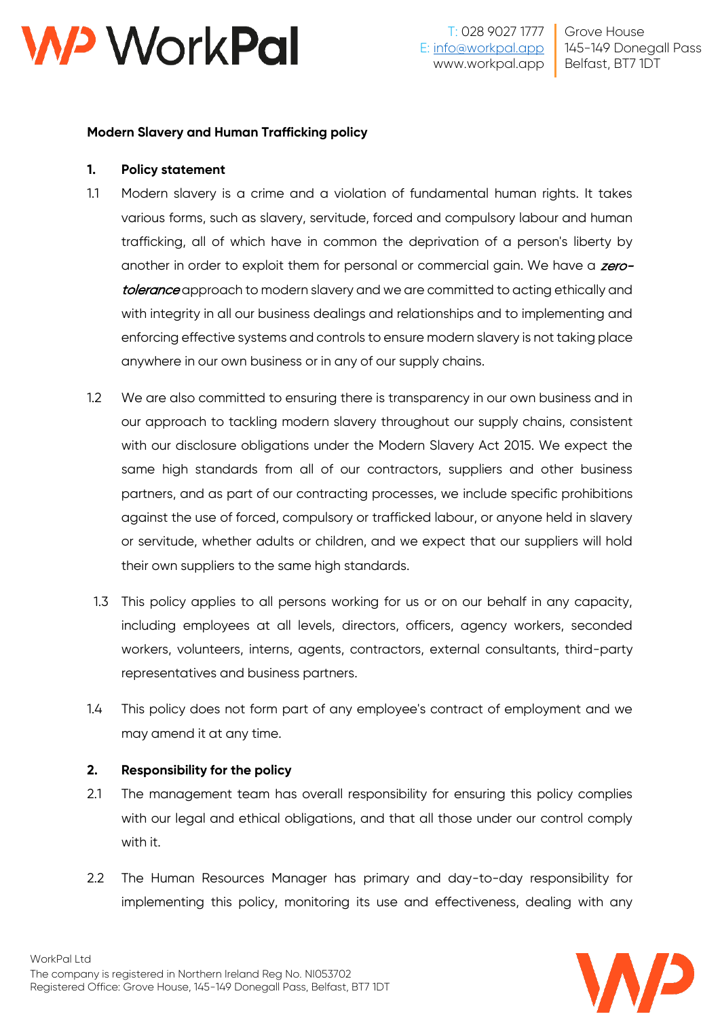

## **Modern Slavery and Human Trafficking policy**

### **1. Policy statement**

- 1.1 Modern slavery is a crime and a violation of fundamental human rights. It takes various forms, such as slavery, servitude, forced and compulsory labour and human trafficking, all of which have in common the deprivation of a person's liberty by another in order to exploit them for personal or commercial gain. We have a zerotolerance approach to modern slavery and we are committed to acting ethically and with integrity in all our business dealings and relationships and to implementing and enforcing effective systems and controls to ensure modern slavery is not taking place anywhere in our own business or in any of our supply chains.
- 1.2 We are also committed to ensuring there is transparency in our own business and in our approach to tackling modern slavery throughout our supply chains, consistent with our disclosure obligations under the Modern Slavery Act 2015. We expect the same high standards from all of our contractors, suppliers and other business partners, and as part of our contracting processes, we include specific prohibitions against the use of forced, compulsory or trafficked labour, or anyone held in slavery or servitude, whether adults or children, and we expect that our suppliers will hold their own suppliers to the same high standards.
- 1.3 This policy applies to all persons working for us or on our behalf in any capacity, including employees at all levels, directors, officers, agency workers, seconded workers, volunteers, interns, agents, contractors, external consultants, third-party representatives and business partners.
- 1.4 This policy does not form part of any employee's contract of employment and we may amend it at any time.

# **2. Responsibility for the policy**

- 2.1 The management team has overall responsibility for ensuring this policy complies with our legal and ethical obligations, and that all those under our control comply with it.
- 2.2 The Human Resources Manager has primary and day-to-day responsibility for implementing this policy, monitoring its use and effectiveness, dealing with any

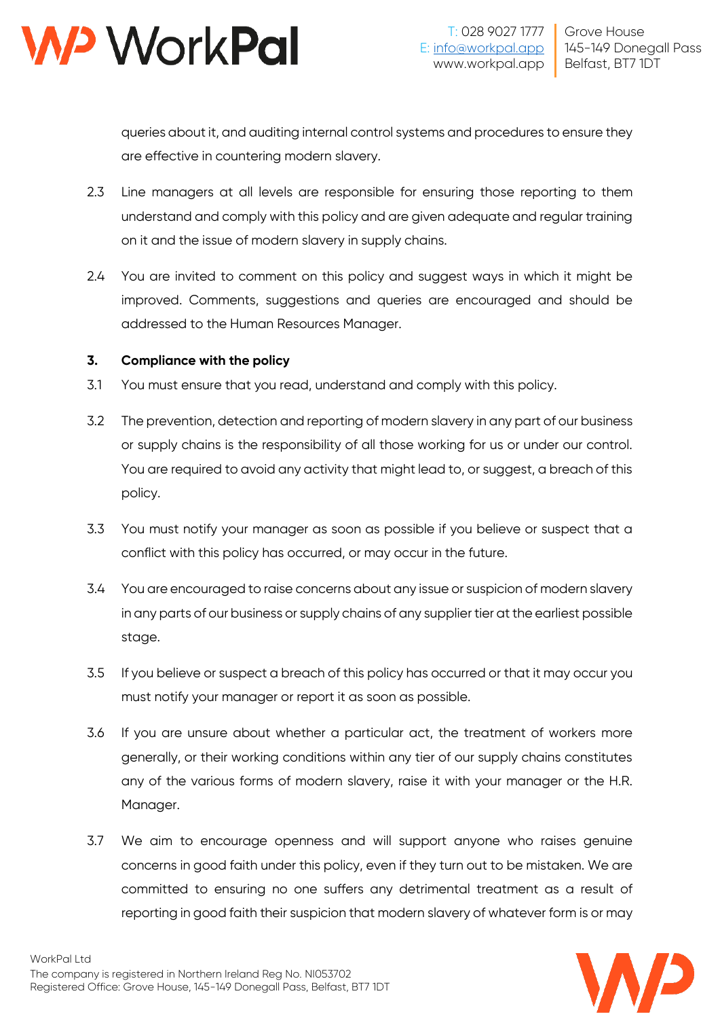

queries about it, and auditing internal control systems and procedures to ensure they are effective in countering modern slavery.

- 2.3 Line managers at all levels are responsible for ensuring those reporting to them understand and comply with this policy and are given adequate and regular training on it and the issue of modern slavery in supply chains.
- 2.4 You are invited to comment on this policy and suggest ways in which it might be improved. Comments, suggestions and queries are encouraged and should be addressed to the Human Resources Manager.

## **3. Compliance with the policy**

- 3.1 You must ensure that you read, understand and comply with this policy.
- 3.2 The prevention, detection and reporting of modern slavery in any part of our business or supply chains is the responsibility of all those working for us or under our control. You are required to avoid any activity that might lead to, or suggest, a breach of this policy.
- 3.3 You must notify your manager as soon as possible if you believe or suspect that a conflict with this policy has occurred, or may occur in the future.
- 3.4 You are encouraged to raise concerns about any issue or suspicion of modern slavery in any parts of our business or supply chains of any supplier tier at the earliest possible stage.
- 3.5 If you believe or suspect a breach of this policy has occurred or that it may occur you must notify your manager or report it as soon as possible.
- 3.6 If you are unsure about whether a particular act, the treatment of workers more generally, or their working conditions within any tier of our supply chains constitutes any of the various forms of modern slavery, raise it with your manager or the H.R. Manager.
- 3.7 We aim to encourage openness and will support anyone who raises genuine concerns in good faith under this policy, even if they turn out to be mistaken. We are committed to ensuring no one suffers any detrimental treatment as a result of reporting in good faith their suspicion that modern slavery of whatever form is or may

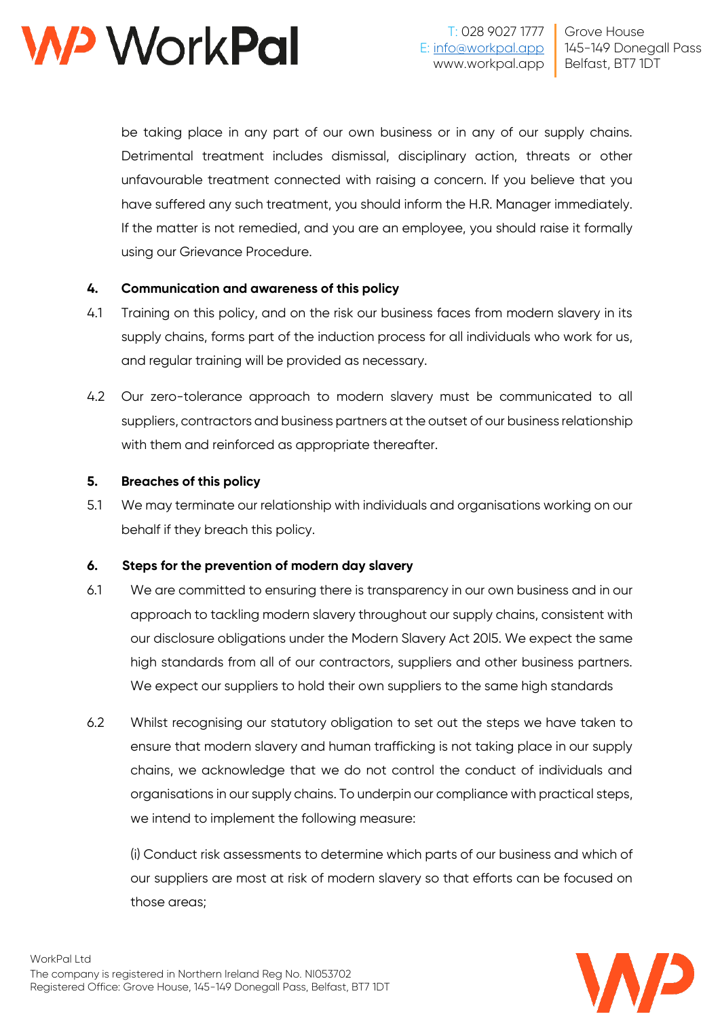

be taking place in any part of our own business or in any of our supply chains. Detrimental treatment includes dismissal, disciplinary action, threats or other unfavourable treatment connected with raising a concern. If you believe that you have suffered any such treatment, you should inform the H.R. Manager immediately. If the matter is not remedied, and you are an employee, you should raise it formally using our Grievance Procedure.

### **4. Communication and awareness of this policy**

- 4.1 Training on this policy, and on the risk our business faces from modern slavery in its supply chains, forms part of the induction process for all individuals who work for us, and regular training will be provided as necessary.
- 4.2 Our zero-tolerance approach to modern slavery must be communicated to all suppliers, contractors and business partners at the outset of our business relationship with them and reinforced as appropriate thereafter.

### **5. Breaches of this policy**

5.1 We may terminate our relationship with individuals and organisations working on our behalf if they breach this policy.

### **6. Steps for the prevention of modern day slavery**

- 6.1 We are committed to ensuring there is transparency in our own business and in our approach to tackling modern slavery throughout our supply chains, consistent with our disclosure obligations under the Modern Slavery Act 20l5. We expect the same high standards from all of our contractors, suppliers and other business partners. We expect our suppliers to hold their own suppliers to the same high standards
- 6.2 Whilst recognising our statutory obligation to set out the steps we have taken to ensure that modern slavery and human trafficking is not taking place in our supply chains, we acknowledge that we do not control the conduct of individuals and organisations in our supply chains. To underpin our compliance with practical steps, we intend to implement the following measure:

(i) Conduct risk assessments to determine which parts of our business and which of our suppliers are most at risk of modern slavery so that efforts can be focused on those areas;